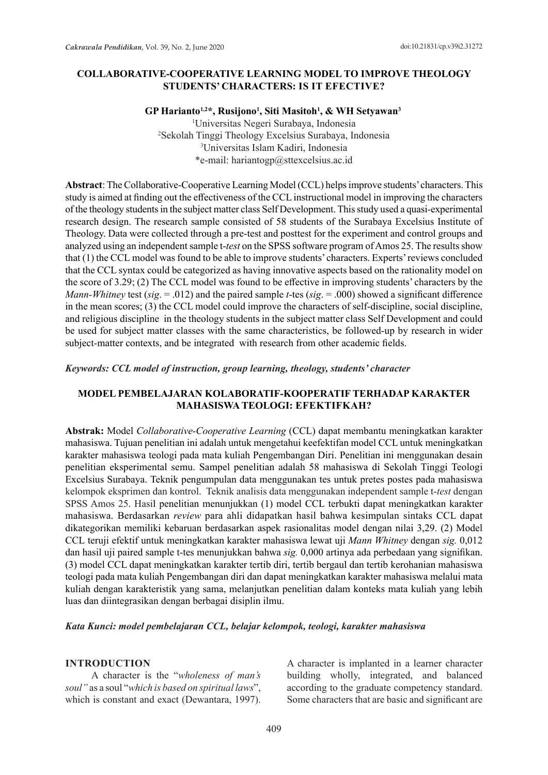### **COLLABORATIVE-COOPERATIVE LEARNING MODEL TO IMPROVE THEOLOGY STUDENTS' CHARACTERS: IS IT EFECTIVE?**

**GP Harianto1,2\*, Rusijono1 , Siti Masitoh1 , & WH Setyawan<sup>3</sup>**

 Universitas Negeri Surabaya, Indonesia Sekolah Tinggi Theology Excelsius Surabaya, Indonesia Universitas Islam Kadiri, Indonesia \*e-mail: hariantogp@sttexcelsius.ac.id

**Abstract**: The Collaborative-Cooperative Learning Model (CCL) helps improve students' characters. This study is aimed at finding out the effectiveness of the CCL instructional model in improving the characters of the theology students in the subject matter class Self Development. This study used a quasi-experimental research design. The research sample consisted of 58 students of the Surabaya Excelsius Institute of Theology. Data were collected through a pre-test and posttest for the experiment and control groups and analyzed using an independent sample t-*test* on the SPSS software program of Amos 25. The results show that (1) the CCL model was found to be able to improve students' characters. Experts' reviews concluded that the CCL syntax could be categorized as having innovative aspects based on the rationality model on the score of 3.29; (2) The CCL model was found to be effective in improving students' characters by the *Mann-Whitney* test (*sig*. = .012) and the paired sample *t*-tes (*sig*. = .000) showed a significant difference in the mean scores; (3) the CCL model could improve the characters of self-discipline, social discipline, and religious discipline in the theology students in the subject matter class Self Development and could be used for subject matter classes with the same characteristics, be followed-up by research in wider subject-matter contexts, and be integrated with research from other academic fields.

#### *Keywords: CCL model of instruction, group learning, theology, students' character*

## **MODEL PEMBELAJARAN KOLABORATIF-KOOPERATIF TERHADAP KARAKTER MAHASISWA TEOLOGI: EFEKTIFKAH?**

**Abstrak:** Model *Collaborative-Cooperative Learning* (CCL) dapat membantu meningkatkan karakter mahasiswa. Tujuan penelitian ini adalah untuk mengetahui keefektifan model CCL untuk meningkatkan karakter mahasiswa teologi pada mata kuliah Pengembangan Diri. Penelitian ini menggunakan desain penelitian eksperimental semu. Sampel penelitian adalah 58 mahasiswa di Sekolah Tinggi Teologi Excelsius Surabaya. Teknik pengumpulan data menggunakan tes untuk pretes postes pada mahasiswa kelompok eksprimen dan kontrol. Teknik analisis data menggunakan independent sample t-*test* dengan SPSS Amos 25. Hasil penelitian menunjukkan (1) model CCL terbukti dapat meningkatkan karakter mahasiswa. Berdasarkan *review* para ahli didapatkan hasil bahwa kesimpulan sintaks CCL dapat dikategorikan memiliki kebaruan berdasarkan aspek rasionalitas model dengan nilai 3,29. (2) Model CCL teruji efektif untuk meningkatkan karakter mahasiswa lewat uji *Mann Whitney* dengan *sig.* 0,012 dan hasil uji paired sample t-tes menunjukkan bahwa *sig.* 0,000 artinya ada perbedaan yang signifikan. (3) model CCL dapat meningkatkan karakter tertib diri, tertib bergaul dan tertib kerohanian mahasiswa teologi pada mata kuliah Pengembangan diri dan dapat meningkatkan karakter mahasiswa melalui mata kuliah dengan karakteristik yang sama, melanjutkan penelitian dalam konteks mata kuliah yang lebih luas dan diintegrasikan dengan berbagai disiplin ilmu.

*Kata Kunci: model pembelajaran CCL, belajar kelompok, teologi, karakter mahasiswa*

#### **INTRODUCTION**

A character is the "*wholeness of man's soul"* as a soul "*which is based on spiritual laws*", which is constant and exact (Dewantara, 1997). A character is implanted in a learner character building wholly, integrated, and balanced according to the graduate competency standard. Some characters that are basic and significant are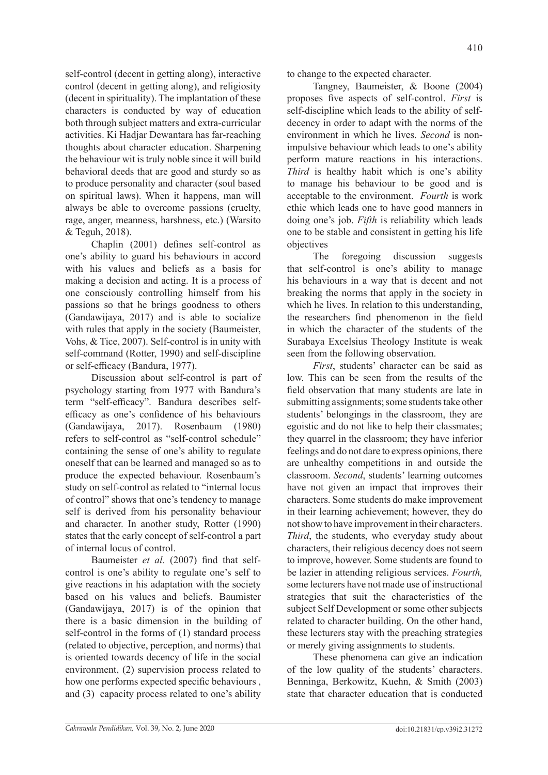self-control (decent in getting along), interactive control (decent in getting along), and religiosity (decent in spirituality). The implantation of these characters is conducted by way of education both through subject matters and extra-curricular activities. Ki Hadjar Dewantara has far-reaching thoughts about character education. Sharpening the behaviour wit is truly noble since it will build behavioral deeds that are good and sturdy so as to produce personality and character (soul based on spiritual laws). When it happens, man will always be able to overcome passions (cruelty, rage, anger, meanness, harshness, etc.) (Warsito & Teguh, 2018).

Chaplin (2001) defines self-control as one's ability to guard his behaviours in accord with his values and beliefs as a basis for making a decision and acting. It is a process of one consciously controlling himself from his passions so that he brings goodness to others (Gandawijaya, 2017) and is able to socialize with rules that apply in the society (Baumeister, Vohs, & Tice, 2007). Self-control is in unity with self-command (Rotter, 1990) and self-discipline or self-efficacy (Bandura, 1977).

Discussion about self-control is part of psychology starting from 1977 with Bandura's term "self-efficacy". Bandura describes selfefficacy as one's confidence of his behaviours (Gandawijaya, 2017). Rosenbaum (1980) refers to self-control as "self-control schedule" containing the sense of one's ability to regulate oneself that can be learned and managed so as to produce the expected behaviour. Rosenbaum's study on self-control as related to "internal locus of control" shows that one's tendency to manage self is derived from his personality behaviour and character. In another study, Rotter (1990) states that the early concept of self-control a part of internal locus of control.

Baumeister *et al*. (2007) find that selfcontrol is one's ability to regulate one's self to give reactions in his adaptation with the society based on his values and beliefs. Baumister (Gandawijaya, 2017) is of the opinion that there is a basic dimension in the building of self-control in the forms of (1) standard process (related to objective, perception, and norms) that is oriented towards decency of life in the social environment, (2) supervision process related to how one performs expected specific behaviours , and (3) capacity process related to one's ability to change to the expected character.

Tangney, Baumeister, & Boone (2004) proposes five aspects of self-control. *First* is self-discipline which leads to the ability of selfdecency in order to adapt with the norms of the environment in which he lives. *Second* is nonimpulsive behaviour which leads to one's ability perform mature reactions in his interactions. *Third* is healthy habit which is one's ability to manage his behaviour to be good and is acceptable to the environment. *Fourth* is work ethic which leads one to have good manners in doing one's job. *Fifth* is reliability which leads one to be stable and consistent in getting his life objectives

The foregoing discussion suggests that self-control is one's ability to manage his behaviours in a way that is decent and not breaking the norms that apply in the society in which he lives. In relation to this understanding, the researchers find phenomenon in the field in which the character of the students of the Surabaya Excelsius Theology Institute is weak seen from the following observation.

*First*, students' character can be said as low. This can be seen from the results of the field observation that many students are late in submitting assignments; some students take other students' belongings in the classroom, they are egoistic and do not like to help their classmates; they quarrel in the classroom; they have inferior feelings and do not dare to express opinions, there are unhealthy competitions in and outside the classroom. *Second*, students' learning outcomes have not given an impact that improves their characters. Some students do make improvement in their learning achievement; however, they do not show to have improvement in their characters. *Third*, the students, who everyday study about characters, their religious decency does not seem to improve, however. Some students are found to be lazier in attending religious services. *Fourth,*  some lecturers have not made use of instructional strategies that suit the characteristics of the subject Self Development or some other subjects related to character building. On the other hand, these lecturers stay with the preaching strategies or merely giving assignments to students.

These phenomena can give an indication of the low quality of the students' characters. Benninga, Berkowitz, Kuehn, & Smith (2003) state that character education that is conducted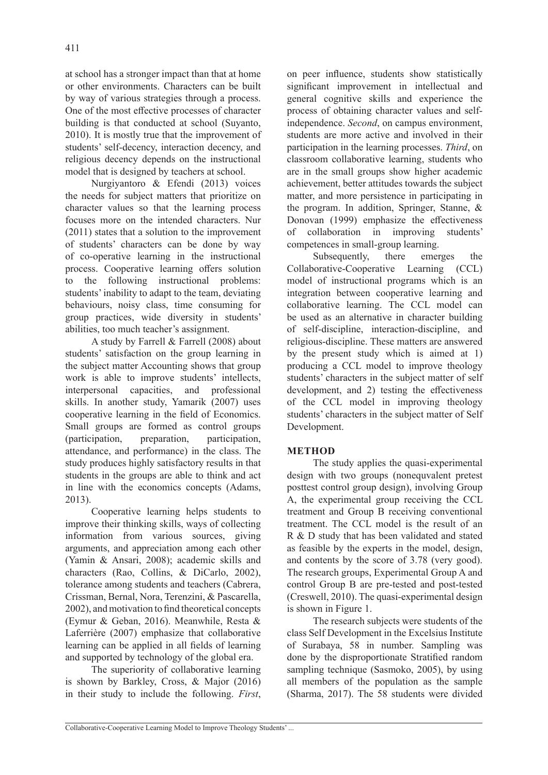at school has a stronger impact than that at home or other environments. Characters can be built by way of various strategies through a process. One of the most effective processes of character building is that conducted at school (Suyanto, 2010). It is mostly true that the improvement of students' self-decency, interaction decency, and religious decency depends on the instructional model that is designed by teachers at school.

Nurgiyantoro & Efendi (2013) voices the needs for subject matters that prioritize on character values so that the learning process focuses more on the intended characters. Nur (2011) states that a solution to the improvement of students' characters can be done by way of co-operative learning in the instructional process. Cooperative learning offers solution to the following instructional problems: students' inability to adapt to the team, deviating behaviours, noisy class, time consuming for group practices, wide diversity in students' abilities, too much teacher's assignment.

A study by Farrell & Farrell (2008) about students' satisfaction on the group learning in the subject matter Accounting shows that group work is able to improve students' intellects, interpersonal capacities, and professional skills. In another study, Yamarik (2007) uses cooperative learning in the field of Economics. Small groups are formed as control groups (participation, preparation, participation, attendance, and performance) in the class. The study produces highly satisfactory results in that students in the groups are able to think and act in line with the economics concepts (Adams, 2013).

Cooperative learning helps students to improve their thinking skills, ways of collecting information from various sources, giving arguments, and appreciation among each other (Yamin & Ansari, 2008); academic skills and characters (Rao, Collins, & DiCarlo, 2002), tolerance among students and teachers (Cabrera, Crissman, Bernal, Nora, Terenzini, & Pascarella, 2002), and motivation to find theoretical concepts (Eymur & Geban, 2016). Meanwhile, Resta & Laferrière (2007) emphasize that collaborative learning can be applied in all fields of learning and supported by technology of the global era.

The superiority of collaborative learning is shown by Barkley, Cross, & Major (2016) in their study to include the following. *First*, on peer influence, students show statistically significant improvement in intellectual and general cognitive skills and experience the process of obtaining character values and selfindependence. *Second*, on campus environment, students are more active and involved in their participation in the learning processes. *Third*, on classroom collaborative learning, students who are in the small groups show higher academic achievement, better attitudes towards the subject matter, and more persistence in participating in the program. In addition, Springer, Stanne, & Donovan (1999) emphasize the effectiveness of collaboration in improving students' competences in small-group learning.

Subsequently, there emerges the Collaborative-Cooperative Learning (CCL) model of instructional programs which is an integration between cooperative learning and collaborative learning. The CCL model can be used as an alternative in character building of self-discipline, interaction-discipline, and religious-discipline. These matters are answered by the present study which is aimed at 1) producing a CCL model to improve theology students' characters in the subject matter of self development, and 2) testing the effectiveness of the CCL model in improving theology students' characters in the subject matter of Self Development.

# **METHOD**

The study applies the quasi-experimental design with two groups (nonequvalent pretest posttest control group design), involving Group A, the experimental group receiving the CCL treatment and Group B receiving conventional treatment. The CCL model is the result of an R & D study that has been validated and stated as feasible by the experts in the model, design, and contents by the score of 3.78 (very good). The research groups, Experimental Group A and control Group B are pre-tested and post-tested (Creswell, 2010). The quasi-experimental design is shown in Figure 1.

The research subjects were students of the class Self Development in the Excelsius Institute of Surabaya, 58 in number. Sampling was done by the disproportionate Stratified random sampling technique (Sasmoko, 2005), by using all members of the population as the sample (Sharma, 2017). The 58 students were divided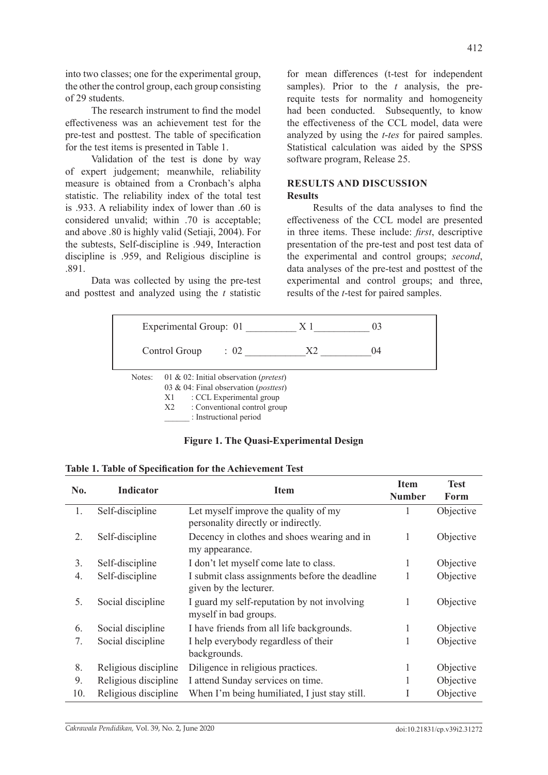into two classes; one for the experimental group, the other the control group, each group consisting of 29 students.

The research instrument to find the model effectiveness was an achievement test for the pre-test and posttest. The table of specification for the test items is presented in Table 1.

Validation of the test is done by way of expert judgement; meanwhile, reliability measure is obtained from a Cronbach's alpha statistic. The reliability index of the total test is .933. A reliability index of lower than .60 is considered unvalid; within .70 is acceptable; and above .80 is highly valid (Setiaji, 2004). For the subtests, Self-discipline is .949, Interaction discipline is .959, and Religious discipline is .891.

Data was collected by using the pre-test and posttest and analyzed using the *t* statistic for mean differences (t-test for independent samples). Prior to the *t* analysis, the prerequite tests for normality and homogeneity had been conducted. Subsequently, to know the effectiveness of the CCL model, data were analyzed by using the *t*-*tes* for paired samples. Statistical calculation was aided by the SPSS software program, Release 25.

# **RESULTS AND DISCUSSION Results**

Results of the data analyses to find the effectiveness of the CCL model are presented in three items. These include: *first*, descriptive presentation of the pre-test and post test data of the experimental and control groups; *second*, data analyses of the pre-test and posttest of the experimental and control groups; and three, results of the *t*-test for paired samples.

|        | Experimental Group: 01 |                                                                                                                                                                                         | X 1 | 0 <sup>3</sup> |  |
|--------|------------------------|-----------------------------------------------------------------------------------------------------------------------------------------------------------------------------------------|-----|----------------|--|
|        | Control Group          | : 02                                                                                                                                                                                    | X2  | (1)4           |  |
| Notes: | X1<br>X2               | 01 & 02: Initial observation ( <i>pretest</i> )<br>03 & 04: Final observation ( <i>posttest</i> )<br>: CCL Experimental group<br>: Conventional control group<br>: Instructional period |     |                |  |

# **Figure 1. The Quasi-Experimental Design**

|  |  | Table 1. Table of Specification for the Achievement Test |  |  |  |
|--|--|----------------------------------------------------------|--|--|--|
|--|--|----------------------------------------------------------|--|--|--|

| No. | <b>Indicator</b>     | <b>Item</b>                                                                 | <b>Item</b><br><b>Number</b> | <b>Test</b><br>Form |
|-----|----------------------|-----------------------------------------------------------------------------|------------------------------|---------------------|
| 1.  | Self-discipline      | Let myself improve the quality of my<br>personality directly or indirectly. | 1                            | Objective           |
| 2.  | Self-discipline      | Decency in clothes and shoes wearing and in<br>my appearance.               | 1                            | Objective           |
| 3.  | Self-discipline      | I don't let myself come late to class.                                      | 1                            | Objective           |
| 4.  | Self-discipline      | I submit class assignments before the deadline<br>given by the lecturer.    | 1                            | Objective           |
| 5.  | Social discipline    | I guard my self-reputation by not involving<br>myself in bad groups.        | 1                            | Objective           |
| 6.  | Social discipline    | I have friends from all life backgrounds.                                   | 1                            | Objective           |
| 7.  | Social discipline    | I help everybody regardless of their<br>backgrounds.                        | 1                            | Objective           |
| 8.  | Religious discipline | Diligence in religious practices.                                           | 1                            | Objective           |
| 9.  | Religious discipline | I attend Sunday services on time.                                           |                              | Objective           |
| 10. | Religious discipline | When I'm being humiliated, I just stay still.                               |                              | Objective           |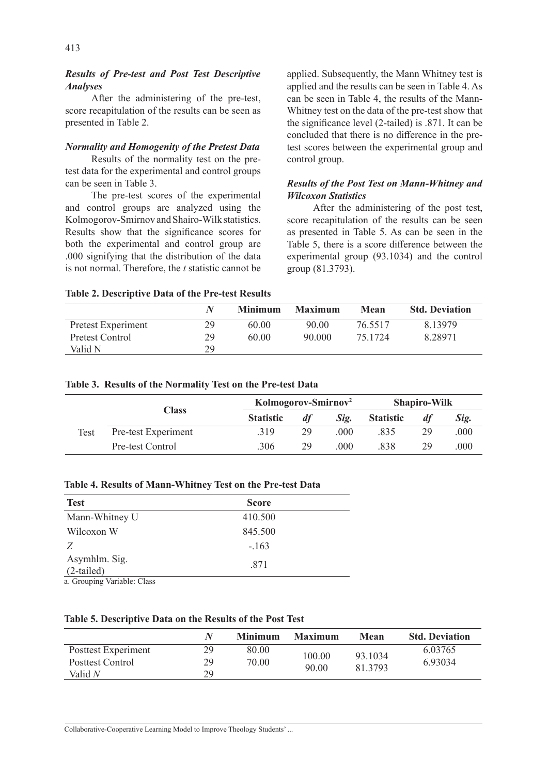*Analyses*  After the administering of the pre-test, score recapitulation of the results can be seen as presented in Table 2.

## *Normality and Homogenity of the Pretest Data*

Results of the normality test on the pretest data for the experimental and control groups can be seen in Table 3.

The pre-test scores of the experimental and control groups are analyzed using the Kolmogorov-Smirnov and Shairo-Wilk statistics. Results show that the significance scores for both the experimental and control group are .000 signifying that the distribution of the data is not normal. Therefore, the *t* statistic cannot be applied. Subsequently, the Mann Whitney test is applied and the results can be seen in Table 4. As can be seen in Table 4, the results of the Mann-Whitney test on the data of the pre-test show that the significance level (2-tailed) is .871. It can be concluded that there is no difference in the pretest scores between the experimental group and control group.

### *Results of the Post Test on Mann-Whitney and Wilcoxon Statistics*

After the administering of the post test, score recapitulation of the results can be seen as presented in Table 5. As can be seen in the Table 5, there is a score difference between the experimental group (93.1034) and the control group (81.3793).

#### **Table 2. Descriptive Data of the Pre-test Results**

|                    |    | <b>Minimum</b> | <b>Maximum</b> | Mean    | <b>Std. Deviation</b> |
|--------------------|----|----------------|----------------|---------|-----------------------|
| Pretest Experiment | 29 | 60.00          | 90.00          | 76.5517 | 8.13979               |
| Pretest Control    | 29 | 60.00          | 90.000         | 75.1724 | 8.28971               |
| Valid N            | 29 |                |                |         |                       |

#### **Table 3. Results of the Normality Test on the Pre-test Data**

|      | <b>Class</b>        |                  | Kolmogorov-Smirnov <sup>2</sup> |      |                  | <b>Shapiro-Wilk</b> |      |  |
|------|---------------------|------------------|---------------------------------|------|------------------|---------------------|------|--|
|      |                     | <b>Statistic</b> | df                              | Sig. | <b>Statistic</b> |                     | Sig. |  |
| Test | Pre-test Experiment | .319             | 29                              | .000 | .835             | 29                  | .000 |  |
|      | Pre-test Control    | .306             | 29                              | .000 | .838             | 29                  | .000 |  |

#### **Table 4. Results of Mann-Whitney Test on the Pre-test Data**

| <b>Test</b>                | <b>Score</b> |  |
|----------------------------|--------------|--|
| Mann-Whitney U             | 410.500      |  |
| Wilcoxon W                 | 845.500      |  |
| Z                          | $-.163$      |  |
| Asymhlm. Sig.              | .871         |  |
| $(2-tailed)$               |              |  |
| o Grouping Variable: Class |              |  |

a. Grouping Variable: Class

#### **Table 5. Descriptive Data on the Results of the Post Test**

|                             |          | <b>Minimum</b> | <b>Maximum</b> | Mean    | <b>Std. Deviation</b> |
|-----------------------------|----------|----------------|----------------|---------|-----------------------|
| Posttest Experiment         | 29       | 80.00          | 100.00         | 93.1034 | 6.03765               |
| Posttest Control<br>Valid N | 29<br>29 | 70.00          | 90.00          | 81.3793 | 6.93034               |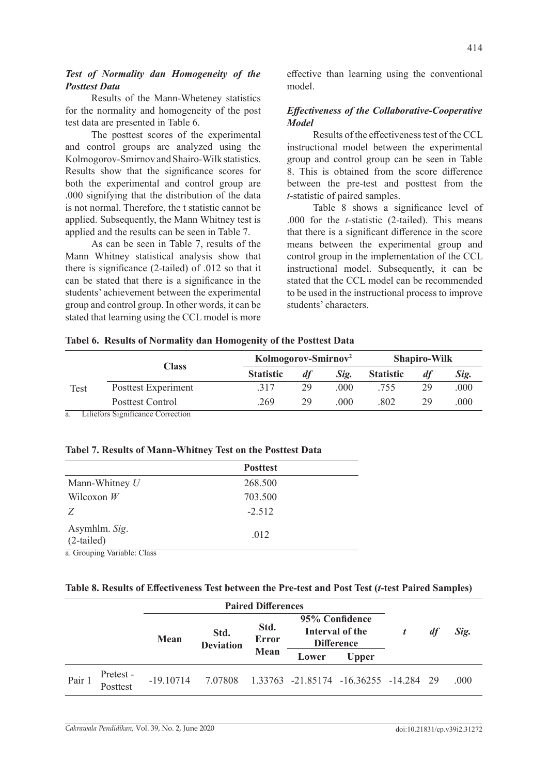## *Test of Normality dan Homogeneity of the Posttest Data*

Results of the Mann-Wheteney statistics for the normality and homogeneity of the post test data are presented in Table 6.

The posttest scores of the experimental and control groups are analyzed using the Kolmogorov-Smirnov and Shairo-Wilk statistics. Results show that the significance scores for both the experimental and control group are .000 signifying that the distribution of the data is not normal. Therefore, the t statistic cannot be applied. Subsequently, the Mann Whitney test is applied and the results can be seen in Table 7.

As can be seen in Table 7, results of the Mann Whitney statistical analysis show that there is significance (2-tailed) of .012 so that it can be stated that there is a significance in the students' achievement between the experimental group and control group. In other words, it can be stated that learning using the CCL model is more effective than learning using the conventional model.

# *Effectiveness of the Collaborative-Cooperative Model*

Results of the effectiveness test of the CCL instructional model between the experimental group and control group can be seen in Table 8. This is obtained from the score difference between the pre-test and posttest from the *t*-statistic of paired samples.

Table 8 shows a significance level of .000 for the *t*-statistic (2-tailed). This means that there is a significant difference in the score means between the experimental group and control group in the implementation of the CCL instructional model. Subsequently, it can be stated that the CCL model can be recommended to be used in the instructional process to improve students' characters.

|      | <b>Class</b>        | Kolmogorov-Smirnov <sup>2</sup> |    |      | <b>Shapiro-Wilk</b> |    |      |
|------|---------------------|---------------------------------|----|------|---------------------|----|------|
|      |                     | <b>Statistic</b>                | dt | Sig. | <b>Statistic</b>    |    | Sig. |
| Test | Posttest Experiment | .317                            | 29 | .000 | .755                | 29 | .000 |
|      | Posttest Control    | 269                             | 29 | .000 | .802                | 29 | 000  |

**Tabel 6. Results of Normality dan Homogenity of the Posttest Data**

a. Liliefors Significance Correction

### **Tabel 7. Results of Mann-Whitney Test on the Posttest Data**

|                               | <b>Posttest</b> |  |
|-------------------------------|-----------------|--|
| Mann-Whitney $U$              | 268.500         |  |
| Wilcoxon $W$                  | 703.500         |  |
| Z                             | $-2.512$        |  |
| Asymhlm. Sig.<br>$(2-tailed)$ | .012            |  |
| a. Grouping Variable: Class   |                 |  |

### **Table 8. Results of Effectiveness Test between the Pre-test and Post Test (***t***-test Paired Samples)**

|        |                       | <b>Paired Differences</b> |                                                  |      |                                                        |              |    |      |
|--------|-----------------------|---------------------------|--------------------------------------------------|------|--------------------------------------------------------|--------------|----|------|
|        |                       | Mean                      | Std.<br>Std.<br><b>Error</b><br><b>Deviation</b> |      | 95% Confidence<br>Interval of the<br><b>Difference</b> |              | df | Sig. |
|        |                       |                           |                                                  | Mean | Lower                                                  | <b>Upper</b> |    |      |
| Pair 1 | Pretest -<br>Posttest | $-19.10714$               |                                                  |      | 7.07808  1.33763  -21.85174  -16.36255  -14.284  29    |              |    | .000 |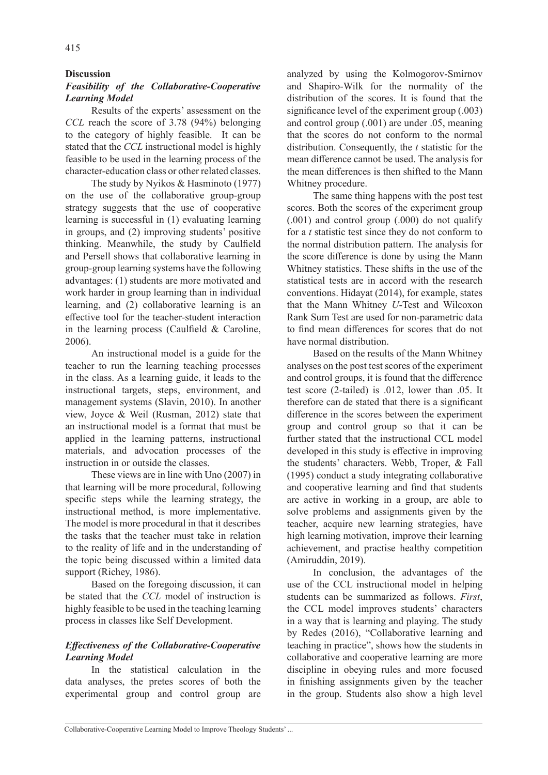#### **Discussion**

## *Feasibility of the Collaborative-Cooperative Learning Model*

Results of the experts' assessment on the *CCL* reach the score of 3.78 (94%) belonging to the category of highly feasible. It can be stated that the *CCL* instructional model is highly feasible to be used in the learning process of the character-education class or other related classes.

The study by Nyikos & Hasminoto (1977) on the use of the collaborative group-group strategy suggests that the use of cooperative learning is successful in (1) evaluating learning in groups, and (2) improving students' positive thinking. Meanwhile, the study by Caulfield and Persell shows that collaborative learning in group-group learning systems have the following advantages: (1) students are more motivated and work harder in group learning than in individual learning, and (2) collaborative learning is an effective tool for the teacher-student interaction in the learning process (Caulfield & Caroline, 2006).

An instructional model is a guide for the teacher to run the learning teaching processes in the class. As a learning guide, it leads to the instructional targets, steps, environment, and management systems (Slavin, 2010). In another view, Joyce & Weil (Rusman, 2012) state that an instructional model is a format that must be applied in the learning patterns, instructional materials, and advocation processes of the instruction in or outside the classes.

These views are in line with Uno (2007) in that learning will be more procedural, following specific steps while the learning strategy, the instructional method, is more implementative. The model is more procedural in that it describes the tasks that the teacher must take in relation to the reality of life and in the understanding of the topic being discussed within a limited data support (Richey, 1986).

Based on the foregoing discussion, it can be stated that the *CCL* model of instruction is highly feasible to be used in the teaching learning process in classes like Self Development.

#### *Effectiveness of the Collaborative-Cooperative Learning Model*

In the statistical calculation in the data analyses, the pretes scores of both the experimental group and control group are analyzed by using the Kolmogorov-Smirnov and Shapiro-Wilk for the normality of the distribution of the scores. It is found that the significance level of the experiment group (.003) and control group (.001) are under .05, meaning that the scores do not conform to the normal distribution. Consequently, the *t* statistic for the mean difference cannot be used. The analysis for the mean differences is then shifted to the Mann Whitney procedure.

The same thing happens with the post test scores. Both the scores of the experiment group (.001) and control group (.000) do not qualify for a *t* statistic test since they do not conform to the normal distribution pattern. The analysis for the score difference is done by using the Mann Whitney statistics. These shifts in the use of the statistical tests are in accord with the research conventions. Hidayat (2014), for example, states that the Mann Whitney *U*-Test and Wilcoxon Rank Sum Test are used for non-parametric data to find mean differences for scores that do not have normal distribution.

Based on the results of the Mann Whitney analyses on the post test scores of the experiment and control groups, it is found that the difference test score (2-tailed) is .012, lower than .05. It therefore can de stated that there is a significant difference in the scores between the experiment group and control group so that it can be further stated that the instructional CCL model developed in this study is effective in improving the students' characters. Webb, Troper, & Fall (1995) conduct a study integrating collaborative and cooperative learning and find that students are active in working in a group, are able to solve problems and assignments given by the teacher, acquire new learning strategies, have high learning motivation, improve their learning achievement, and practise healthy competition (Amiruddin, 2019).

In conclusion, the advantages of the use of the CCL instructional model in helping students can be summarized as follows. *First*, the CCL model improves students' characters in a way that is learning and playing. The study by Redes (2016), "Collaborative learning and teaching in practice", shows how the students in collaborative and cooperative learning are more discipline in obeying rules and more focused in finishing assignments given by the teacher in the group. Students also show a high level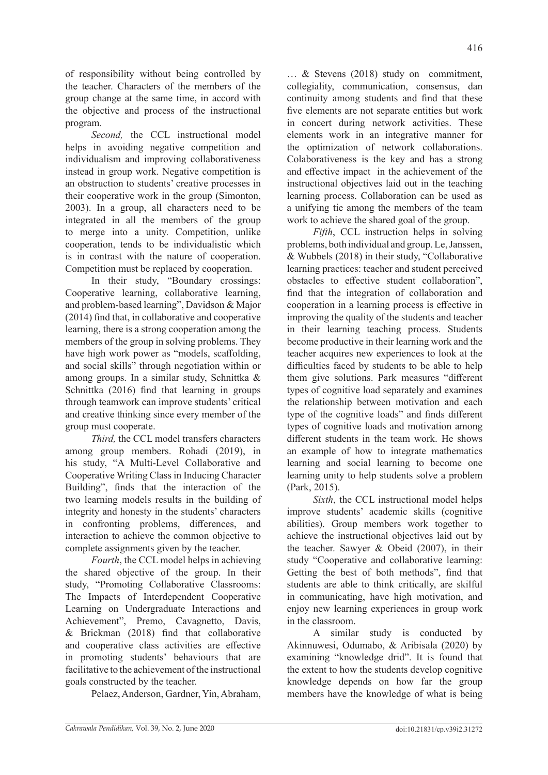of responsibility without being controlled by the teacher. Characters of the members of the group change at the same time, in accord with the objective and process of the instructional program.

*Second,* the CCL instructional model helps in avoiding negative competition and individualism and improving collaborativeness instead in group work. Negative competition is an obstruction to students' creative processes in their cooperative work in the group (Simonton, 2003). In a group, all characters need to be integrated in all the members of the group to merge into a unity. Competition, unlike cooperation, tends to be individualistic which is in contrast with the nature of cooperation. Competition must be replaced by cooperation.

In their study, "Boundary crossings: Cooperative learning, collaborative learning, and problem-based learning", Davidson & Major (2014) find that, in collaborative and cooperative learning, there is a strong cooperation among the members of the group in solving problems. They have high work power as "models, scaffolding, and social skills" through negotiation within or among groups. In a similar study, Schnittka & Schnittka (2016) find that learning in groups through teamwork can improve students' critical and creative thinking since every member of the group must cooperate.

*Third,* the CCL model transfers characters among group members. Rohadi (2019), in his study, "A Multi-Level Collaborative and Cooperative Writing Class in Inducing Character Building", finds that the interaction of the two learning models results in the building of integrity and honesty in the students' characters in confronting problems, differences, and interaction to achieve the common objective to complete assignments given by the teacher.

*Fourth*, the CCL model helps in achieving the shared objective of the group. In their study, "Promoting Collaborative Classrooms: The Impacts of Interdependent Cooperative Learning on Undergraduate Interactions and Achievement", Premo, Cavagnetto, Davis, & Brickman (2018) find that collaborative and cooperative class activities are effective in promoting students' behaviours that are facilitative to the achievement of the instructional goals constructed by the teacher.

Pelaez, Anderson, Gardner, Yin, Abraham,

… & Stevens (2018) study on commitment, collegiality, communication, consensus, dan continuity among students and find that these five elements are not separate entities but work in concert during network activities. These elements work in an integrative manner for the optimization of network collaborations. Colaborativeness is the key and has a strong and effective impact in the achievement of the instructional objectives laid out in the teaching learning process. Collaboration can be used as a unifying tie among the members of the team work to achieve the shared goal of the group.

*Fifth*, CCL instruction helps in solving problems, both individual and group. Le, Janssen, & Wubbels (2018) in their study, "Collaborative learning practices: teacher and student perceived obstacles to effective student collaboration", find that the integration of collaboration and cooperation in a learning process is effective in improving the quality of the students and teacher in their learning teaching process. Students become productive in their learning work and the teacher acquires new experiences to look at the difficulties faced by students to be able to help them give solutions. Park measures "different types of cognitive load separately and examines the relationship between motivation and each type of the cognitive loads" and finds different types of cognitive loads and motivation among different students in the team work. He shows an example of how to integrate mathematics learning and social learning to become one learning unity to help students solve a problem (Park, 2015).

*Sixth*, the CCL instructional model helps improve students' academic skills (cognitive abilities). Group members work together to achieve the instructional objectives laid out by the teacher. Sawyer & Obeid (2007), in their study "Cooperative and collaborative learning: Getting the best of both methods", find that students are able to think critically, are skilful in communicating, have high motivation, and enjoy new learning experiences in group work in the classroom.

A similar study is conducted by Akinnuwesi, Odumabo, & Aribisala (2020) by examining "knowledge drid". It is found that the extent to how the students develop cognitive knowledge depends on how far the group members have the knowledge of what is being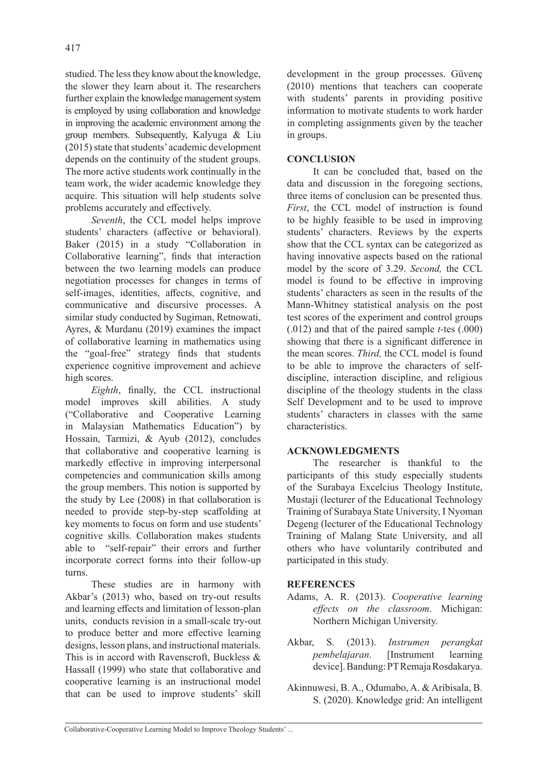studied. The less they know about the knowledge, the slower they learn about it. The researchers further explain the knowledge management system is employed by using collaboration and knowledge in improving the academic environment among the group members. Subsequently, Kalyuga & Liu (2015) state that students' academic development depends on the continuity of the student groups. The more active students work continually in the team work, the wider academic knowledge they acquire. This situation will help students solve problems accurately and effectively.

*Seventh*, the CCL model helps improve students' characters (affective or behavioral). Baker (2015) in a study "Collaboration in Collaborative learning", finds that interaction between the two learning models can produce negotiation processes for changes in terms of self-images, identities, affects, cognitive, and communicative and discursive processes. A similar study conducted by Sugiman, Retnowati, Ayres, & Murdanu (2019) examines the impact of collaborative learning in mathematics using the "goal-free" strategy finds that students experience cognitive improvement and achieve high scores.

*Eighth*, finally, the CCL instructional model improves skill abilities. A study ("Collaborative and Cooperative Learning in Malaysian Mathematics Education") by Hossain, Tarmizi, & Ayub (2012), concludes that collaborative and cooperative learning is markedly effective in improving interpersonal competencies and communication skills among the group members. This notion is supported by the study by Lee (2008) in that collaboration is needed to provide step-by-step scaffolding at key moments to focus on form and use students' cognitive skills. Collaboration makes students able to "self-repair" their errors and further incorporate correct forms into their follow-up turns.

These studies are in harmony with Akbar's (2013) who, based on try-out results and learning effects and limitation of lesson-plan units, conducts revision in a small-scale try-out to produce better and more effective learning designs, lesson plans, and instructional materials. This is in accord with Ravenscroft, Buckless & Hassall (1999) who state that collaborative and cooperative learning is an instructional model that can be used to improve students' skill development in the group processes. Güvenç (2010) mentions that teachers can cooperate with students' parents in providing positive information to motivate students to work harder in completing assignments given by the teacher in groups.

## **CONCLUSION**

It can be concluded that, based on the data and discussion in the foregoing sections, three items of conclusion can be presented thus. *First*, the CCL model of instruction is found to be highly feasible to be used in improving students' characters. Reviews by the experts show that the CCL syntax can be categorized as having innovative aspects based on the rational model by the score of 3.29. *Second,* the CCL model is found to be effective in improving students' characters as seen in the results of the Mann-Whitney statistical analysis on the post test scores of the experiment and control groups (.012) and that of the paired sample *t*-tes (.000) showing that there is a significant difference in the mean scores. *Third,* the CCL model is found to be able to improve the characters of selfdiscipline, interaction discipline, and religious discipline of the theology students in the class Self Development and to be used to improve students' characters in classes with the same characteristics.

### **ACKNOWLEDGMENTS**

The researcher is thankful to the participants of this study especially students of the Surabaya Excelcius Theology Institute, Mustaji (lecturer of the Educational Technology Training of Surabaya State University, I Nyoman Degeng (lecturer of the Educational Technology Training of Malang State University, and all others who have voluntarily contributed and participated in this study.

### **REFERENCES**

- Adams, A. R. (2013). *Cooperative learning effects on the classroom*. Michigan: Northern Michigan University.
- Akbar, S. (2013). *Instrumen perangkat pembelajaran*. [Instrument learning device]. Bandung: PT Remaja Rosdakarya.
- Akinnuwesi, B. A., Odumabo, A. & Aribisala, B. S. (2020). Knowledge grid: An intelligent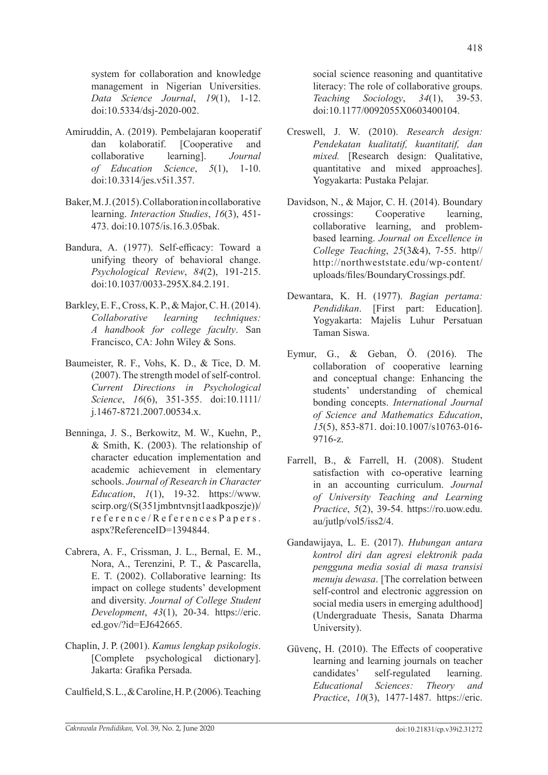system for collaboration and knowledge management in Nigerian Universities. *Data Science Journal*, *19*(1), 1-12. doi:10.5334/dsj-2020-002.

- Amiruddin, A. (2019). Pembelajaran kooperatif dan kolaboratif. [Cooperative and collaborative learning]. *Journal of Education Science*, *5*(1), 1-10. doi:10.3314/jes.v5i1.357.
- Baker, M. J. (2015). Collaboration in collaborative learning. *Interaction Studies*, *16*(3), 451- 473. doi:10.1075/is.16.3.05bak.
- Bandura, A. (1977). Self-efficacy: Toward a unifying theory of behavioral change. *Psychological Review*, *84*(2), 191-215. doi:10.1037/0033-295X.84.2.191.
- Barkley, E. F., Cross, K. P., & Major, C. H. (2014). *Collaborative learning techniques: A handbook for college faculty*. San Francisco, CA: John Wiley & Sons.
- Baumeister, R. F., Vohs, K. D., & Tice, D. M. (2007). The strength model of self-control. *Current Directions in Psychological Science*, *16*(6), 351-355. doi:10.1111/ j.1467-8721.2007.00534.x.
- Benninga, J. S., Berkowitz, M. W., Kuehn, P., & Smith, K. (2003). The relationship of character education implementation and academic achievement in elementary schools. *Journal of Research in Character Education*, *1*(1), 19-32. https://www. scirp.org/(S(351jmbntvnsjt1aadkposzje))/ reference/ReferencesPapers. aspx?ReferenceID=1394844.
- Cabrera, A. F., Crissman, J. L., Bernal, E. M., Nora, A., Terenzini, P. T., & Pascarella, E. T. (2002). Collaborative learning: Its impact on college students' development and diversity. *Journal of College Student Development*, *43*(1), 20-34. https://eric. ed.gov/?id=EJ642665.
- Chaplin, J. P. (2001). *Kamus lengkap psikologis*. [Complete psychological dictionary]. Jakarta: Grafika Persada.
- Caulfield, S. L., & Caroline, H. P. (2006). Teaching

social science reasoning and quantitative literacy: The role of collaborative groups. *Teaching Sociology*, *34*(1), 39-53. doi:10.1177/0092055X0603400104.

- Creswell, J. W. (2010). *Research design: Pendekatan kualitatif, kuantitatif, dan mixed.* [Research design: Qualitative, quantitative and mixed approaches]. Yogyakarta: Pustaka Pelajar.
- Davidson, N., & Major, C. H. (2014). Boundary crossings: Cooperative learning, collaborative learning, and problembased learning. *Journal on Excellence in College Teaching*, *25*(3&4), 7-55. http// http://northweststate.edu/wp-content/ uploads/files/BoundaryCrossings.pdf.
- Dewantara, K. H. (1977). *Bagian pertama: Pendidikan*. [First part: Education]. Yogyakarta: Majelis Luhur Persatuan Taman Siswa.
- Eymur, G., & Geban, Ö. (2016). The collaboration of cooperative learning and conceptual change: Enhancing the students' understanding of chemical bonding concepts. *International Journal of Science and Mathematics Education*, *15*(5), 853-871. doi:10.1007/s10763-016- 9716-z.
- Farrell, B., & Farrell, H. (2008). Student satisfaction with co-operative learning in an accounting curriculum. *Journal of University Teaching and Learning Practice*, *5*(2), 39-54. https://ro.uow.edu. au/jutlp/vol5/iss2/4.
- Gandawijaya, L. E. (2017). *Hubungan antara kontrol diri dan agresi elektronik pada pengguna media sosial di masa transisi menuju dewasa*. [The correlation between self-control and electronic aggression on social media users in emerging adulthood] (Undergraduate Thesis, Sanata Dharma University).
- Güvenç, H. (2010). The Effects of cooperative learning and learning journals on teacher candidates' self-regulated learning. *Educational Sciences: Theory and Practice*, *10*(3), 1477-1487. https://eric.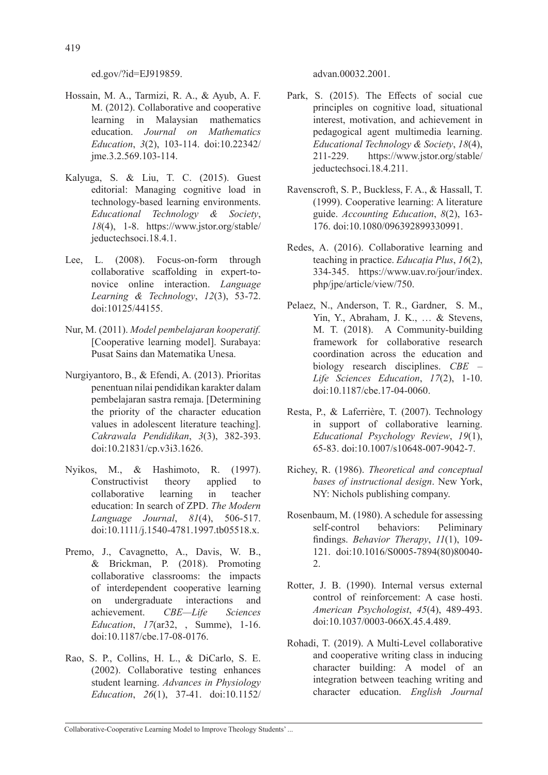ed.gov/?id=EJ919859.

- Hossain, M. A., Tarmizi, R. A., & Ayub, A. F. M. (2012). Collaborative and cooperative learning in Malaysian mathematics education. *Journal on Mathematics Education*, *3*(2), 103-114. doi:10.22342/ jme.3.2.569.103-114.
- Kalyuga, S. & Liu, T. C. (2015). Guest editorial: Managing cognitive load in technology-based learning environments. *Educational Technology & Society*, *18*(4), 1-8. https://www.jstor.org/stable/ jeductechsoci.18.4.1.
- Lee, L. (2008). Focus-on-form through collaborative scaffolding in expert-tonovice online interaction. *Language Learning & Technology*, *12*(3), 53-72. doi:10125/44155.
- Nur, M. (2011). *Model pembelajaran kooperatif.*  [Cooperative learning model]. Surabaya: Pusat Sains dan Matematika Unesa.
- Nurgiyantoro, B., & Efendi, A. (2013). Prioritas penentuan nilai pendidikan karakter dalam pembelajaran sastra remaja. [Determining the priority of the character education values in adolescent literature teaching]. *Cakrawala Pendidikan*, *3*(3), 382-393. doi:10.21831/cp.v3i3.1626.
- Nyikos, M., & Hashimoto, R. (1997). Constructivist theory applied to collaborative learning in teacher education: In search of ZPD. *The Modern Language Journal*, *81*(4), 506-517. doi:10.1111/j.1540-4781.1997.tb05518.x.
- Premo, J., Cavagnetto, A., Davis, W. B., & Brickman, P. (2018). Promoting collaborative classrooms: the impacts of interdependent cooperative learning on undergraduate interactions and achievement. *CBE—Life Sciences Education*, *17*(ar32, , Summe), 1-16. doi:10.1187/cbe.17-08-0176.
- Rao, S. P., Collins, H. L., & DiCarlo, S. E. (2002). Collaborative testing enhances student learning. *Advances in Physiology Education*, *26*(1), 37-41. doi:10.1152/

advan.00032.2001.

- Park, S. (2015). The Effects of social cue principles on cognitive load, situational interest, motivation, and achievement in pedagogical agent multimedia learning. *Educational Technology & Society*, *18*(4), 211-229. https://www.jstor.org/stable/ jeductechsoci.18.4.211.
- Ravenscroft, S. P., Buckless, F. A., & Hassall, T. (1999). Cooperative learning: A literature guide. *Accounting Education*, *8*(2), 163- 176. doi:10.1080/096392899330991.
- Redes, A. (2016). Collaborative learning and teaching in practice. *Educația Plus*, *16*(2), 334-345. https://www.uav.ro/jour/index. php/jpe/article/view/750.
- Pelaez, N., Anderson, T. R., Gardner, S. M., Yin, Y., Abraham, J. K., … & Stevens, M. T. (2018). A Community-building framework for collaborative research coordination across the education and biology research disciplines. *CBE – Life Sciences Education*, *17*(2), 1-10. doi:10.1187/cbe.17-04-0060.
- Resta, P., & Laferrière, T. (2007). Technology in support of collaborative learning. *Educational Psychology Review*, *19*(1), 65-83. doi:10.1007/s10648-007-9042-7.
- Richey, R. (1986). *Theoretical and conceptual bases of instructional design*. New York, NY: Nichols publishing company.
- Rosenbaum, M. (1980). A schedule for assessing self-control behaviors: Peliminary findings. *Behavior Therapy*, *11*(1), 109- 121. doi:10.1016/S0005-7894(80)80040- 2.
- Rotter, J. B. (1990). Internal versus external control of reinforcement: A case hosti. *American Psychologist*, *45*(4), 489-493. doi:10.1037/0003-066X.45.4.489.
- Rohadi, T. (2019). A Multi-Level collaborative and cooperative writing class in inducing character building: A model of an integration between teaching writing and character education. *English Journal*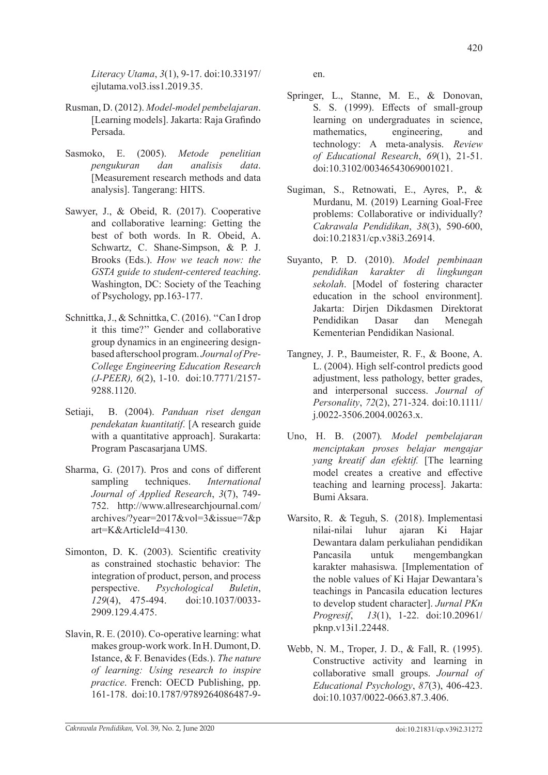*Literacy Utama*, *3*(1), 9-17. doi:10.33197/ ejlutama.vol3.iss1.2019.35.

- Rusman, D. (2012). *Model-model pembelajaran*. [Learning models]. Jakarta: Raja Grafindo Persada.
- Sasmoko, E. (2005). *Metode penelitian pengukuran dan analisis data*. [Measurement research methods and data analysis]. Tangerang: HITS.
- Sawyer, J., & Obeid, R. (2017). Cooperative and collaborative learning: Getting the best of both words. In R. Obeid, A. Schwartz, C. Shane-Simpson, & P. J. Brooks (Eds.). *How we teach now: the GSTA guide to student-centered teaching*. Washington, DC: Society of the Teaching of Psychology, pp.163-177.
- Schnittka, J., & Schnittka, C. (2016). ''Can I drop it this time?'' Gender and collaborative group dynamics in an engineering designbased afterschool program. *Journal of Pre-College Engineering Education Research (J-PEER), 6*(2), 1-10. doi:10.7771/2157- 9288.1120.
- Setiaji, B. (2004). *Panduan riset dengan pendekatan kuantitatif*. [A research guide with a quantitative approach]. Surakarta: Program Pascasarjana UMS.
- Sharma, G. (2017). Pros and cons of different sampling techniques. *International Journal of Applied Research*, *3*(7), 749- 752. http://www.allresearchjournal.com/ archives/?year=2017&vol=3&issue=7&p art=K&ArticleId=4130.
- Simonton, D. K. (2003). Scientific creativity as constrained stochastic behavior: The integration of product, person, and process perspective. *Psychological Buletin*, *129*(4), 475-494. doi:10.1037/0033- 2909.129.4.475.
- Slavin, R. E. (2010). Co-operative learning: what makes group-work work. In H. Dumont, D. Istance, & F. Benavides (Eds.). *The nature of learning: Using research to inspire practice*. French: OECD Publishing, pp. 161-178. doi:10.1787/9789264086487-9-

en.

- Springer, L., Stanne, M. E., & Donovan, S. S. (1999). Effects of small-group learning on undergraduates in science, mathematics, engineering, and technology: A meta-analysis. *Review of Educational Research*, *69*(1), 21-51. doi:10.3102/00346543069001021.
- Sugiman, S., Retnowati, E., Ayres, P., & Murdanu, M. (2019) Learning Goal-Free problems: Collaborative or individually? *Cakrawala Pendidikan*, *38*(3), 590-600, doi:10.21831/cp.v38i3.26914.
- Suyanto, P. D. (2010). *Model pembinaan pendidikan karakter di lingkungan sekolah*. [Model of fostering character education in the school environment]. Jakarta: Dirien Dikdasmen Direktorat Pendidikan Dasar dan Menegah Kementerian Pendidikan Nasional.
- Tangney, J. P., Baumeister, R. F., & Boone, A. L. (2004). High self-control predicts good adjustment, less pathology, better grades, and interpersonal success. *Journal of Personality*, *72*(2), 271-324. doi:10.1111/ j.0022-3506.2004.00263.x.
- Uno, H. B. (2007)*. Model pembelajaran menciptakan proses belajar mengajar yang kreatif dan efektif.* [The learning model creates a creative and effective teaching and learning process]. Jakarta: Bumi Aksara.
- Warsito, R. & Teguh, S. (2018). Implementasi nilai-nilai luhur ajaran Ki Hajar Dewantara dalam perkuliahan pendidikan Pancasila untuk mengembangkan karakter mahasiswa. [Implementation of the noble values of Ki Hajar Dewantara's teachings in Pancasila education lectures to develop student character]. *Jurnal PKn Progresif*, *13*(1), 1-22. doi:10.20961/ pknp.v13i1.22448.
- Webb, N. M., Troper, J. D., & Fall, R. (1995). Constructive activity and learning in collaborative small groups. *Journal of Educational Psychology*, *87*(3), 406-423. doi:10.1037/0022-0663.87.3.406.

420